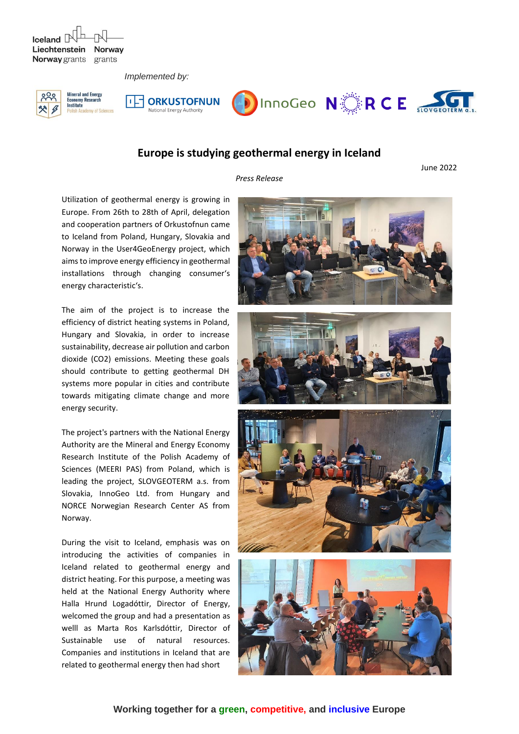$I$ celand  $\Box$ Liechtenstein Norway Norway grants grants

 *Implemented by:*







## **Europe is studying geothermal energy in Iceland**

*Press Release*

June 2022

Utilization of geothermal energy is growing in Europe. From 26th to 28th of April, delegation and cooperation partners of Orkustofnun came to Iceland from Poland, Hungary, Slovakia and Norway in the User4GeoEnergy project, which aims to improve energy efficiency in geothermal installations through changing consumer's energy characteristic's.

The aim of the project is to increase the efficiency of district heating systems in Poland, Hungary and Slovakia, in order to increase sustainability, decrease air pollution and carbon dioxide (CO2) emissions. Meeting these goals should contribute to getting geothermal DH systems more popular in cities and contribute towards mitigating climate change and more energy security.

The project's partners with the National Energy Authority are the Mineral and Energy Economy Research Institute of the Polish Academy of Sciences (MEERI PAS) from Poland, which is leading the project, SLOVGEOTERM a.s. from Slovakia, InnoGeo Ltd. from Hungary and NORCE Norwegian Research Center AS from Norway.

During the visit to Iceland, emphasis was on introducing the activities of companies in Iceland related to geothermal energy and district heating. For this purpose, a meeting was held at the National Energy Authority where Halla Hrund Logadóttir, Director of Energy, welcomed the group and had a presentation as welll as Marta Ros Karlsdóttir, Director of Sustainable use of natural resources. Companies and institutions in Iceland that are related to geothermal energy then had short







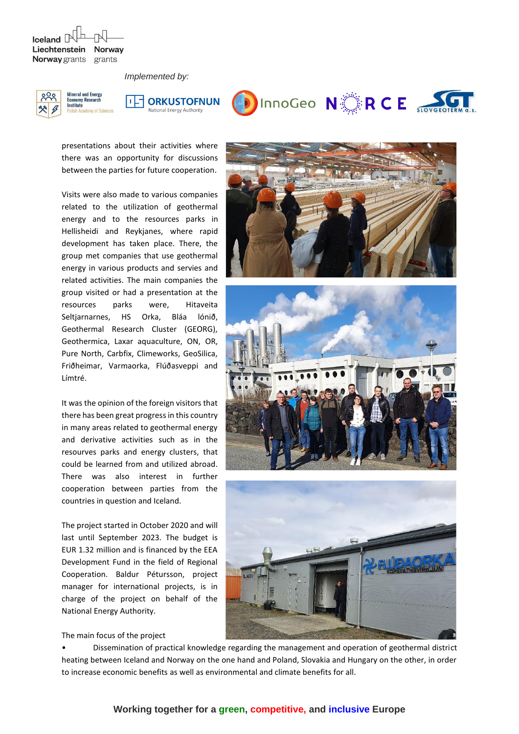$I$ celand  $\Box$ Liechtenstein **Norway** Norway grants grants

my of Sciences

 *Implemented by:*







presentations about their activities where there was an opportunity for discussions between the parties for future cooperation.

Visits were also made to various companies related to the utilization of geothermal energy and to the resources parks in Hellisheidi and Reykjanes, where rapid development has taken place. There, the group met companies that use geothermal energy in various products and servies and related activities. The main companies the group visited or had a presentation at the resources parks were, Hitaveita Seltjarnarnes, HS Orka, Bláa lónið, Geothermal Research Cluster (GEORG), Geothermica, Laxar aquaculture, ON, OR, Pure North, Carbfix, Climeworks, GeoSilica, Friðheimar, Varmaorka, Flúðasveppi and Límtré.

It was the opinion of the foreign visitors that there has been great progress in this country in many areas related to geothermal energy and derivative activities such as in the resourves parks and energy clusters, that could be learned from and utilized abroad. There was also interest in further cooperation between parties from the countries in question and Iceland.

The project started in October 2020 and will last until September 2023. The budget is EUR 1.32 million and is financed by the EEA Development Fund in the field of Regional Cooperation. Baldur Pétursson, project manager for international projects, is in charge of the project on behalf of the National Energy Authority.









• Dissemination of practical knowledge regarding the management and operation of geothermal district heating between Iceland and Norway on the one hand and Poland, Slovakia and Hungary on the other, in order to increase economic benefits as well as environmental and climate benefits for all.

## **Working together for a green, competitive, and inclusive Europe**